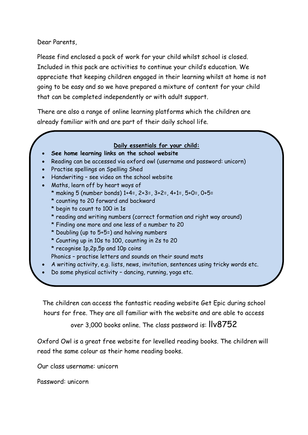Dear Parents,

Please find enclosed a pack of work for your child whilst school is closed. Included in this pack are activities to continue your child's education. We appreciate that keeping children engaged in their learning whilst at home is not going to be easy and so we have prepared a mixture of content for your child that can be completed independently or with adult support.

There are also a range of online learning platforms which the children are already familiar with and are part of their daily school life.

## **Daily essentials for your child:**

- **See home learning links on the school website**
- Reading can be accessed via oxford owl (username and password: unicorn)
- Practise spellings on Spelling Shed
- Handwriting see video on the school website
- Maths, learn off by heart ways of
	- \* making 5 (number bonds) 1+4=, 2+3=, 3+2=, 4+1=, 5+0=, 0+5=
	- \* counting to 20 forward and backward
	- \* begin to count to 100 in 1s
	- \* reading and writing numbers (correct formation and right way around)
	- \* Finding one more and one less of a number to 20
	- \* Doubling (up to 5+5=) and halving numbers
	- \* Counting up in 10s to 100, counting in 2s to 20
	- \* recognise 1p,2p,5p and 10p coins
	- Phonics practise letters and sounds on their sound mats
- A writing activity, e.g. lists, news, invitation, sentences using tricky words etc.
- Do some physical activity dancing, running, yoga etc.

The children can access the fantastic reading website Get Epic during school hours for free. They are all familiar with the website and are able to access

over 3,000 books online. The class password is: llv8752

Oxford Owl is a great free website for levelled reading books. The children will read the same colour as their home reading books.

Our class username: unicorn

Password: unicorn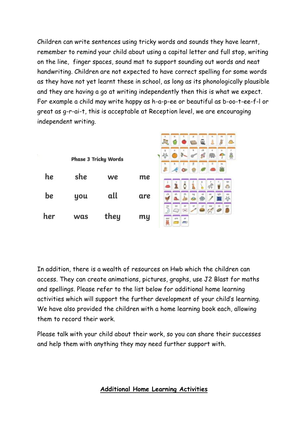Children can write sentences using tricky words and sounds they have learnt, remember to remind your child about using a capital letter and full stop, writing on the line, finger spaces, sound mat to support sounding out words and neat handwriting. Children are not expected to have correct spelling for some words as they have not yet learnt these in school, as long as its phonologically plausible and they are having a go at writing independently then this is what we expect. For example a child may write happy as h-a-p-ee or beautiful as b-oo-t-ee-f-l or great as g-r-ai-t, this is acceptable at Reception level, we are encouraging independent writing.



In addition, there is a wealth of resources on Hwb which the children can access. They can create animations, pictures, graphs, use J2 Blast for maths and spellings. Please refer to the list below for additional home learning activities which will support the further development of your child's learning. We have also provided the children with a home learning book each, allowing them to record their work.

Please talk with your child about their work, so you can share their successes and help them with anything they may need further support with.

## **Additional Home Learning Activities**